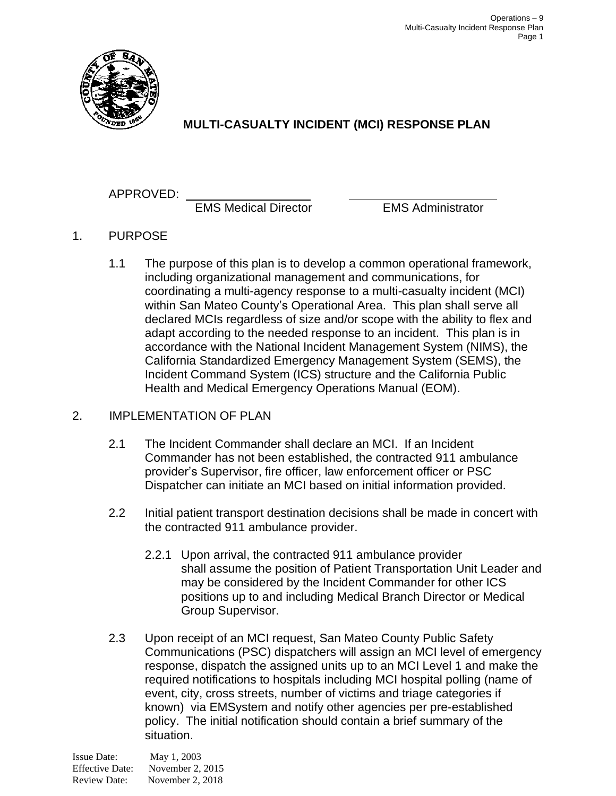

# **MULTI-CASUALTY INCIDENT (MCI) RESPONSE PLAN**

# APPROVED:

EMS Medical Director EMS Administrator

- 1. PURPOSE
	- 1.1 The purpose of this plan is to develop a common operational framework, including organizational management and communications, for coordinating a multi-agency response to a multi-casualty incident (MCI) within San Mateo County's Operational Area. This plan shall serve all declared MCIs regardless of size and/or scope with the ability to flex and adapt according to the needed response to an incident. This plan is in accordance with the National Incident Management System (NIMS), the California Standardized Emergency Management System (SEMS), the Incident Command System (ICS) structure and the California Public Health and Medical Emergency Operations Manual (EOM).

## 2. IMPLEMENTATION OF PLAN

- 2.1 The Incident Commander shall declare an MCI. If an Incident Commander has not been established, the contracted 911 ambulance provider's Supervisor, fire officer, law enforcement officer or PSC Dispatcher can initiate an MCI based on initial information provided.
- 2.2 Initial patient transport destination decisions shall be made in concert with the contracted 911 ambulance provider.
	- 2.2.1 Upon arrival, the contracted 911 ambulance provider shall assume the position of Patient Transportation Unit Leader and may be considered by the Incident Commander for other ICS positions up to and including Medical Branch Director or Medical Group Supervisor.
- 2.3 Upon receipt of an MCI request, San Mateo County Public Safety Communications (PSC) dispatchers will assign an MCI level of emergency response, dispatch the assigned units up to an MCI Level 1 and make the required notifications to hospitals including MCI hospital polling (name of event, city, cross streets, number of victims and triage categories if known) via EMSystem and notify other agencies per pre-established policy. The initial notification should contain a brief summary of the situation.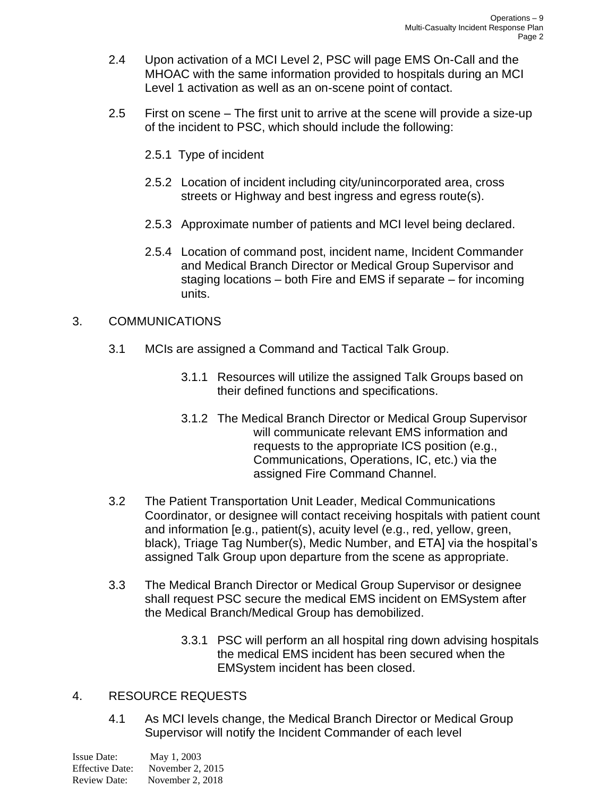- 2.4 Upon activation of a MCI Level 2, PSC will page EMS On-Call and the MHOAC with the same information provided to hospitals during an MCI Level 1 activation as well as an on-scene point of contact.
- 2.5 First on scene The first unit to arrive at the scene will provide a size-up of the incident to PSC, which should include the following:
	- 2.5.1 Type of incident
	- 2.5.2 Location of incident including city/unincorporated area, cross streets or Highway and best ingress and egress route(s).
	- 2.5.3 Approximate number of patients and MCI level being declared.
	- 2.5.4 Location of command post, incident name, Incident Commander and Medical Branch Director or Medical Group Supervisor and staging locations – both Fire and EMS if separate – for incoming units.

#### 3. COMMUNICATIONS

- 3.1 MCIs are assigned a Command and Tactical Talk Group.
	- 3.1.1 Resources will utilize the assigned Talk Groups based on their defined functions and specifications.
	- 3.1.2 The Medical Branch Director or Medical Group Supervisor will communicate relevant EMS information and requests to the appropriate ICS position (e.g., Communications, Operations, IC, etc.) via the assigned Fire Command Channel.
- 3.2 The Patient Transportation Unit Leader, Medical Communications Coordinator, or designee will contact receiving hospitals with patient count and information [e.g., patient(s), acuity level (e.g., red, yellow, green, black), Triage Tag Number(s), Medic Number, and ETA] via the hospital's assigned Talk Group upon departure from the scene as appropriate.
- 3.3 The Medical Branch Director or Medical Group Supervisor or designee shall request PSC secure the medical EMS incident on EMSystem after the Medical Branch/Medical Group has demobilized.
	- 3.3.1 PSC will perform an all hospital ring down advising hospitals the medical EMS incident has been secured when the EMSystem incident has been closed.

#### 4. RESOURCE REQUESTS

4.1 As MCI levels change, the Medical Branch Director or Medical Group Supervisor will notify the Incident Commander of each level

| Issue Date:            | May 1, 2003      |
|------------------------|------------------|
| <b>Effective Date:</b> | November 2, 2015 |
| <b>Review Date:</b>    | November 2, 2018 |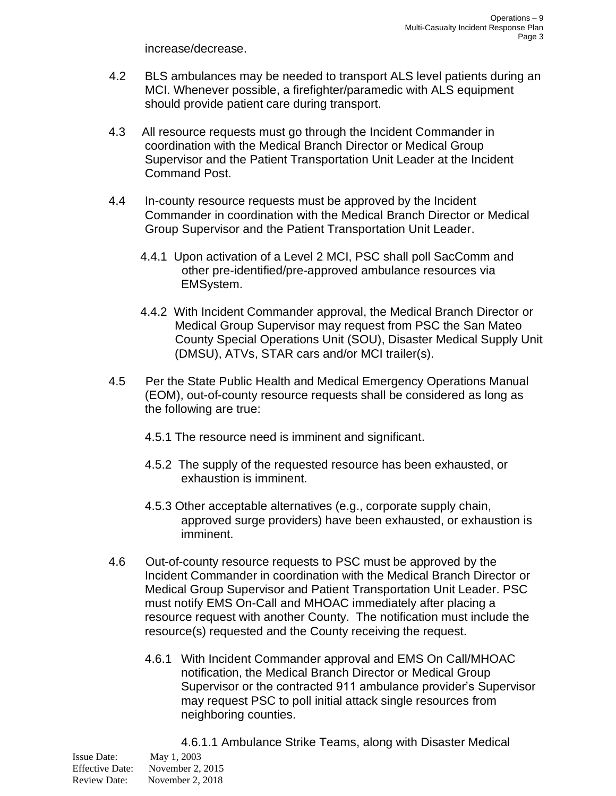increase/decrease.

- 4.2 BLS ambulances may be needed to transport ALS level patients during an MCI. Whenever possible, a firefighter/paramedic with ALS equipment should provide patient care during transport.
- 4.3 All resource requests must go through the Incident Commander in coordination with the Medical Branch Director or Medical Group Supervisor and the Patient Transportation Unit Leader at the Incident Command Post.
- 4.4 In-county resource requests must be approved by the Incident Commander in coordination with the Medical Branch Director or Medical Group Supervisor and the Patient Transportation Unit Leader.
	- 4.4.1 Upon activation of a Level 2 MCI, PSC shall poll SacComm and other pre-identified/pre-approved ambulance resources via EMSystem.
	- 4.4.2 With Incident Commander approval, the Medical Branch Director or Medical Group Supervisor may request from PSC the San Mateo County Special Operations Unit (SOU), Disaster Medical Supply Unit (DMSU), ATVs, STAR cars and/or MCI trailer(s).
- 4.5 Per the State Public Health and Medical Emergency Operations Manual (EOM), out-of-county resource requests shall be considered as long as the following are true:
	- 4.5.1 The resource need is imminent and significant.
	- 4.5.2 The supply of the requested resource has been exhausted, or exhaustion is imminent.
	- 4.5.3 Other acceptable alternatives (e.g., corporate supply chain, approved surge providers) have been exhausted, or exhaustion is imminent.
- 4.6 Out-of-county resource requests to PSC must be approved by the Incident Commander in coordination with the Medical Branch Director or Medical Group Supervisor and Patient Transportation Unit Leader. PSC must notify EMS On-Call and MHOAC immediately after placing a resource request with another County. The notification must include the resource(s) requested and the County receiving the request.
	- 4.6.1 With Incident Commander approval and EMS On Call/MHOAC notification, the Medical Branch Director or Medical Group Supervisor or the contracted 911 ambulance provider's Supervisor may request PSC to poll initial attack single resources from neighboring counties.

Issue Date: May 1, 2003 Effective Date: November 2, 2015 Review Date: November 2, 2018 4.6.1.1 Ambulance Strike Teams, along with Disaster Medical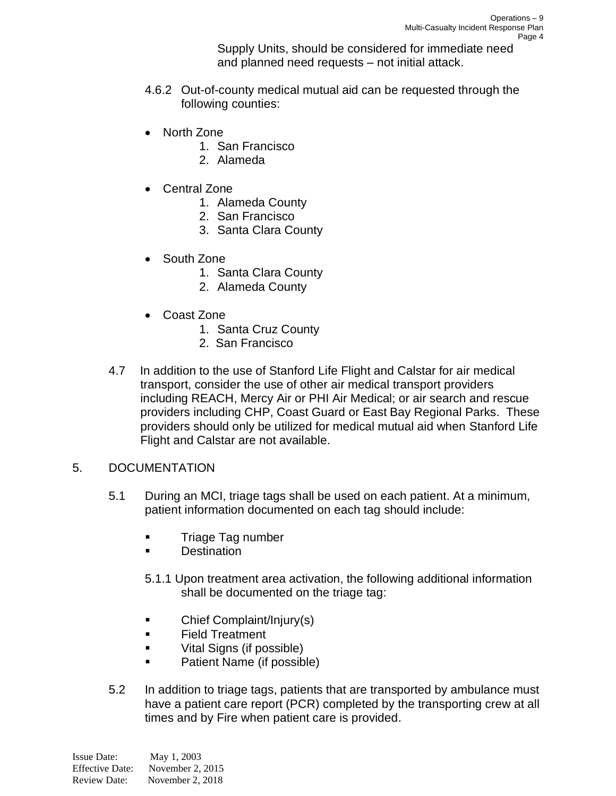Supply Units, should be considered for immediate need and planned need requests – not initial attack.

- 4.6.2 Out-of-county medical mutual aid can be requested through the following counties:
- North Zone
	- 1. San Francisco
	- 2. Alameda
- Central Zone
	- 1. Alameda County
	- 2. San Francisco
	- 3. Santa Clara County
- South Zone
	- 1. Santa Clara County
	- 2. Alameda County
- Coast Zone
	- 1. Santa Cruz County
	- 2. San Francisco
- 4.7 In addition to the use of Stanford Life Flight and Calstar for air medical transport, consider the use of other air medical transport providers including REACH, Mercy Air or PHI Air Medical; or air search and rescue providers including CHP, Coast Guard or East Bay Regional Parks. These providers should only be utilized for medical mutual aid when Stanford Life Flight and Calstar are not available.
- 5. DOCUMENTATION
	- 5.1 During an MCI, triage tags shall be used on each patient. At a minimum, patient information documented on each tag should include:
		- Triage Tag number
		- Destination
		- 5.1.1 Upon treatment area activation, the following additional information shall be documented on the triage tag:
		- Chief Complaint/Injury(s)
		- Field Treatment
		- Vital Signs (if possible)
		- Patient Name (if possible)
	- 5.2 In addition to triage tags, patients that are transported by ambulance must have a patient care report (PCR) completed by the transporting crew at all times and by Fire when patient care is provided.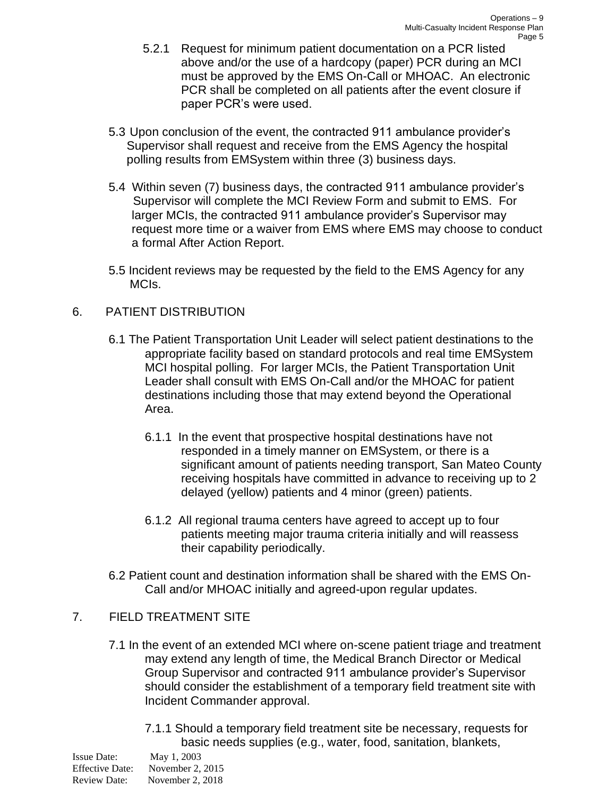- 5.2.1 Request for minimum patient documentation on a PCR listed above and/or the use of a hardcopy (paper) PCR during an MCI must be approved by the EMS On-Call or MHOAC. An electronic PCR shall be completed on all patients after the event closure if paper PCR's were used.
- 5.3 Upon conclusion of the event, the contracted 911 ambulance provider's Supervisor shall request and receive from the EMS Agency the hospital polling results from EMSystem within three (3) business days.
- 5.4 Within seven (7) business days, the contracted 911 ambulance provider's Supervisor will complete the MCI Review Form and submit to EMS. For larger MCIs, the contracted 911 ambulance provider's Supervisor may request more time or a waiver from EMS where EMS may choose to conduct a formal After Action Report.
- 5.5 Incident reviews may be requested by the field to the EMS Agency for any MCIs.

#### 6. PATIENT DISTRIBUTION

- 6.1 The Patient Transportation Unit Leader will select patient destinations to the appropriate facility based on standard protocols and real time EMSystem MCI hospital polling. For larger MCIs, the Patient Transportation Unit Leader shall consult with EMS On-Call and/or the MHOAC for patient destinations including those that may extend beyond the Operational Area.
	- 6.1.1 In the event that prospective hospital destinations have not responded in a timely manner on EMSystem, or there is a significant amount of patients needing transport, San Mateo County receiving hospitals have committed in advance to receiving up to 2 delayed (yellow) patients and 4 minor (green) patients.
	- 6.1.2 All regional trauma centers have agreed to accept up to four patients meeting major trauma criteria initially and will reassess their capability periodically.
- 6.2 Patient count and destination information shall be shared with the EMS On-Call and/or MHOAC initially and agreed-upon regular updates.

#### 7. FIELD TREATMENT SITE

- 7.1 In the event of an extended MCI where on-scene patient triage and treatment may extend any length of time, the Medical Branch Director or Medical Group Supervisor and contracted 911 ambulance provider's Supervisor should consider the establishment of a temporary field treatment site with Incident Commander approval.
	- 7.1.1 Should a temporary field treatment site be necessary, requests for basic needs supplies (e.g., water, food, sanitation, blankets,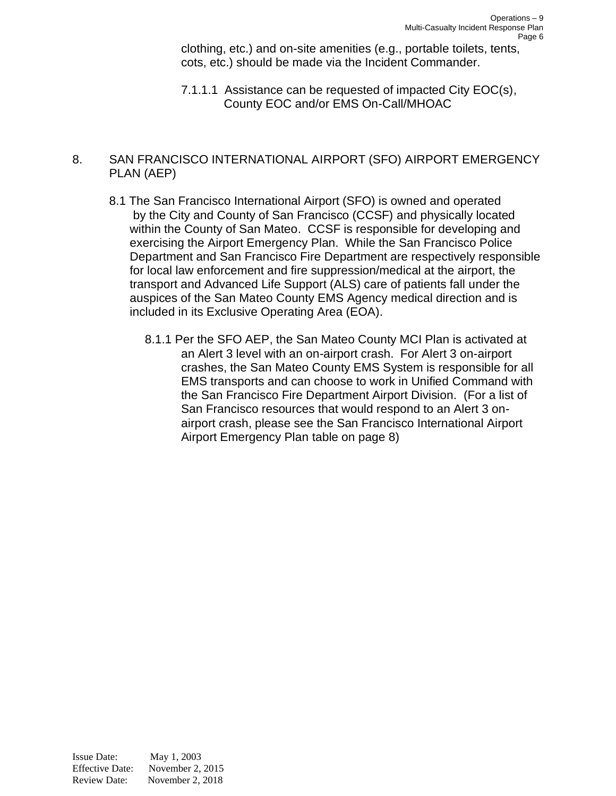clothing, etc.) and on-site amenities (e.g., portable toilets, tents, cots, etc.) should be made via the Incident Commander.

7.1.1.1 Assistance can be requested of impacted City EOC(s), County EOC and/or EMS On-Call/MHOAC

#### 8. SAN FRANCISCO INTERNATIONAL AIRPORT (SFO) AIRPORT EMERGENCY PLAN (AEP)

- 8.1 The San Francisco International Airport (SFO) is owned and operated by the City and County of San Francisco (CCSF) and physically located within the County of San Mateo. CCSF is responsible for developing and exercising the Airport Emergency Plan. While the San Francisco Police Department and San Francisco Fire Department are respectively responsible for local law enforcement and fire suppression/medical at the airport, the transport and Advanced Life Support (ALS) care of patients fall under the auspices of the San Mateo County EMS Agency medical direction and is included in its Exclusive Operating Area (EOA).
	- 8.1.1 Per the SFO AEP, the San Mateo County MCI Plan is activated at an Alert 3 level with an on-airport crash. For Alert 3 on-airport crashes, the San Mateo County EMS System is responsible for all EMS transports and can choose to work in Unified Command with the San Francisco Fire Department Airport Division. (For a list of San Francisco resources that would respond to an Alert 3 onairport crash, please see the San Francisco International Airport Airport Emergency Plan table on page 8)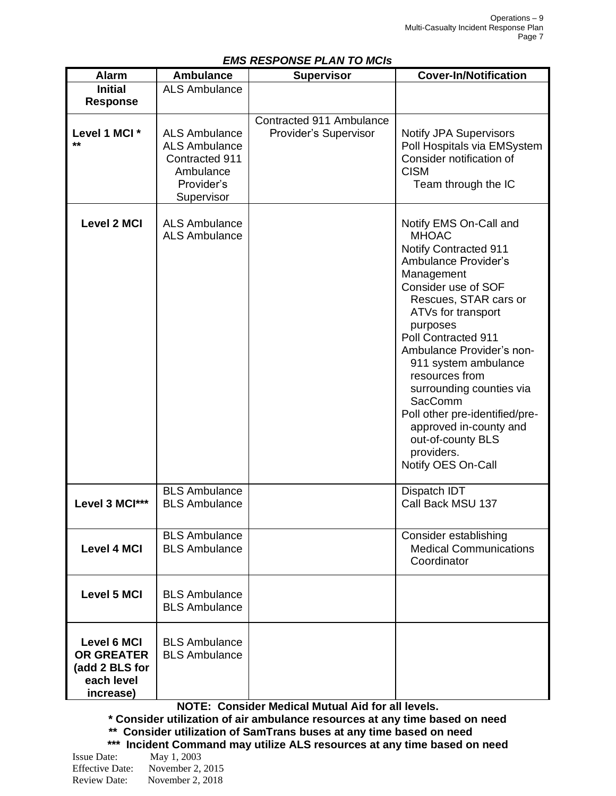| <b>EMS RESPONSE PLAN TO MCIS</b>                                                     |                                                                                                         |                                                   |                                                                                                                                                                                                                                                                                                                                                                                                                                                                 |  |
|--------------------------------------------------------------------------------------|---------------------------------------------------------------------------------------------------------|---------------------------------------------------|-----------------------------------------------------------------------------------------------------------------------------------------------------------------------------------------------------------------------------------------------------------------------------------------------------------------------------------------------------------------------------------------------------------------------------------------------------------------|--|
| <b>Alarm</b>                                                                         | <b>Ambulance</b>                                                                                        | <b>Supervisor</b>                                 | <b>Cover-In/Notification</b>                                                                                                                                                                                                                                                                                                                                                                                                                                    |  |
| <b>Initial</b><br><b>Response</b>                                                    | <b>ALS Ambulance</b>                                                                                    |                                                   |                                                                                                                                                                                                                                                                                                                                                                                                                                                                 |  |
| Level 1 MCI *<br>$**$                                                                | <b>ALS Ambulance</b><br><b>ALS Ambulance</b><br>Contracted 911<br>Ambulance<br>Provider's<br>Supervisor | Contracted 911 Ambulance<br>Provider's Supervisor | <b>Notify JPA Supervisors</b><br>Poll Hospitals via EMSystem<br>Consider notification of<br><b>CISM</b><br>Team through the IC                                                                                                                                                                                                                                                                                                                                  |  |
| <b>Level 2 MCI</b>                                                                   | <b>ALS Ambulance</b><br><b>ALS Ambulance</b>                                                            |                                                   | Notify EMS On-Call and<br><b>MHOAC</b><br><b>Notify Contracted 911</b><br><b>Ambulance Provider's</b><br>Management<br>Consider use of SOF<br>Rescues, STAR cars or<br>ATVs for transport<br>purposes<br>Poll Contracted 911<br>Ambulance Provider's non-<br>911 system ambulance<br>resources from<br>surrounding counties via<br>SacComm<br>Poll other pre-identified/pre-<br>approved in-county and<br>out-of-county BLS<br>providers.<br>Notify OES On-Call |  |
| Level 3 MCI***                                                                       | <b>BLS Ambulance</b><br><b>BLS Ambulance</b>                                                            |                                                   | Dispatch IDT<br>Call Back MSU 137                                                                                                                                                                                                                                                                                                                                                                                                                               |  |
| <b>Level 4 MCI</b>                                                                   | <b>BLS Ambulance</b><br><b>BLS Ambulance</b>                                                            |                                                   | Consider establishing<br><b>Medical Communications</b><br>Coordinator                                                                                                                                                                                                                                                                                                                                                                                           |  |
| <b>Level 5 MCI</b>                                                                   | <b>BLS Ambulance</b><br><b>BLS Ambulance</b>                                                            |                                                   |                                                                                                                                                                                                                                                                                                                                                                                                                                                                 |  |
| <b>Level 6 MCI</b><br><b>OR GREATER</b><br>(add 2 BLS for<br>each level<br>increase) | <b>BLS Ambulance</b><br><b>BLS Ambulance</b>                                                            |                                                   |                                                                                                                                                                                                                                                                                                                                                                                                                                                                 |  |

#### *EMS RESPONSE PLAN TO MCIs*

**NOTE: Consider Medical Mutual Aid for all levels.**

**\* Consider utilization of air ambulance resources at any time based on need \*\* Consider utilization of SamTrans buses at any time based on need \*\*\* Incident Command may utilize ALS resources at any time based on need**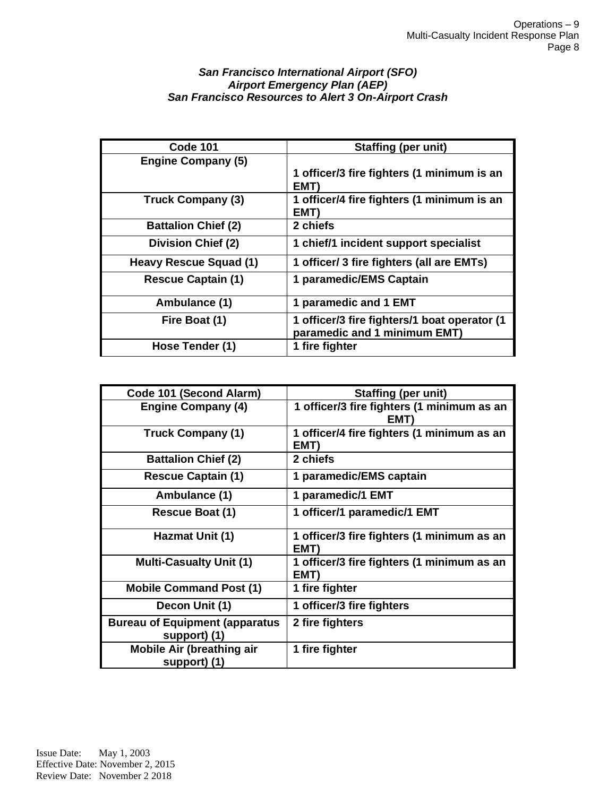#### *San Francisco International Airport (SFO) Airport Emergency Plan (AEP) San Francisco Resources to Alert 3 On-Airport Crash*

| <b>Code 101</b>            | <b>Staffing (per unit)</b>                                                   |
|----------------------------|------------------------------------------------------------------------------|
| <b>Engine Company (5)</b>  |                                                                              |
|                            | 1 officer/3 fire fighters (1 minimum is an<br>EMT)                           |
| <b>Truck Company (3)</b>   | 1 officer/4 fire fighters (1 minimum is an                                   |
|                            | EMT)                                                                         |
| <b>Battalion Chief (2)</b> | 2 chiefs                                                                     |
| <b>Division Chief (2)</b>  | 1 chief/1 incident support specialist                                        |
| Heavy Rescue Squad (1)     | 1 officer/ 3 fire fighters (all are EMTs)                                    |
| <b>Rescue Captain (1)</b>  | 1 paramedic/EMS Captain                                                      |
| Ambulance (1)              | 1 paramedic and 1 EMT                                                        |
| Fire Boat (1)              | 1 officer/3 fire fighters/1 boat operator (1<br>paramedic and 1 minimum EMT) |
| Hose Tender (1)            | 1 fire fighter                                                               |

| Code 101 (Second Alarm)                                | <b>Staffing (per unit)</b>                         |
|--------------------------------------------------------|----------------------------------------------------|
| <b>Engine Company (4)</b>                              | 1 officer/3 fire fighters (1 minimum as an<br>EMT  |
| <b>Truck Company (1)</b>                               | 1 officer/4 fire fighters (1 minimum as an<br>EMT) |
| <b>Battalion Chief (2)</b>                             | 2 chiefs                                           |
| <b>Rescue Captain (1)</b>                              | 1 paramedic/EMS captain                            |
| Ambulance (1)                                          | 1 paramedic/1 EMT                                  |
| Rescue Boat (1)                                        | 1 officer/1 paramedic/1 EMT                        |
| Hazmat Unit (1)                                        | 1 officer/3 fire fighters (1 minimum as an<br>EMT) |
| <b>Multi-Casualty Unit (1)</b>                         | 1 officer/3 fire fighters (1 minimum as an<br>EMT) |
| <b>Mobile Command Post (1)</b>                         | 1 fire fighter                                     |
| Decon Unit (1)                                         | 1 officer/3 fire fighters                          |
| <b>Bureau of Equipment (apparatus)</b><br>support) (1) | 2 fire fighters                                    |
| <b>Mobile Air (breathing air</b><br>support) (1)       | 1 fire fighter                                     |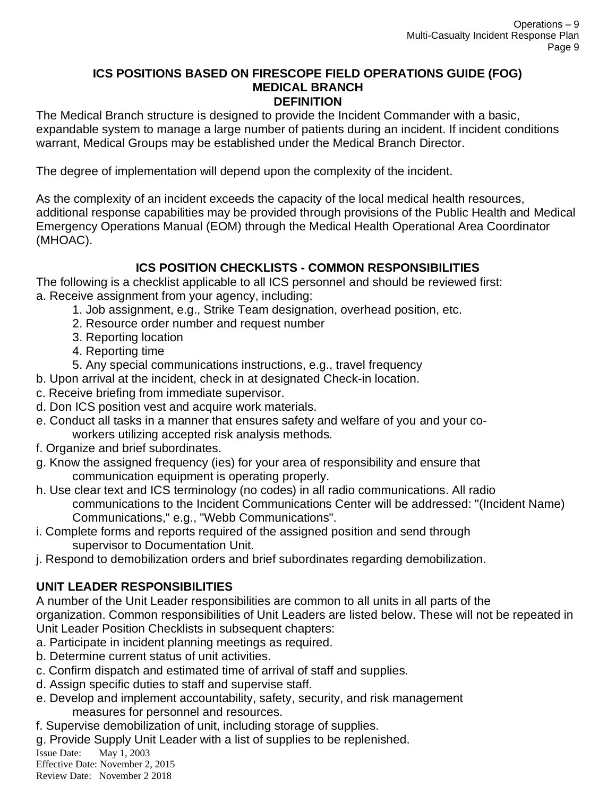#### **ICS POSITIONS BASED ON FIRESCOPE FIELD OPERATIONS GUIDE (FOG) MEDICAL BRANCH DEFINITION**

The Medical Branch structure is designed to provide the Incident Commander with a basic, expandable system to manage a large number of patients during an incident. If incident conditions warrant, Medical Groups may be established under the Medical Branch Director.

The degree of implementation will depend upon the complexity of the incident.

As the complexity of an incident exceeds the capacity of the local medical health resources, additional response capabilities may be provided through provisions of the Public Health and Medical Emergency Operations Manual (EOM) through the Medical Health Operational Area Coordinator (MHOAC).

# **ICS POSITION CHECKLISTS - COMMON RESPONSIBILITIES**

The following is a checklist applicable to all ICS personnel and should be reviewed first: a. Receive assignment from your agency, including:

- 1. Job assignment, e.g., Strike Team designation, overhead position, etc.
- 2. Resource order number and request number
- 3. Reporting location
- 4. Reporting time

5. Any special communications instructions, e.g., travel frequency

b. Upon arrival at the incident, check in at designated Check-in location.

- c. Receive briefing from immediate supervisor.
- d. Don ICS position vest and acquire work materials.
- e. Conduct all tasks in a manner that ensures safety and welfare of you and your coworkers utilizing accepted risk analysis methods.
- f. Organize and brief subordinates.
- g. Know the assigned frequency (ies) for your area of responsibility and ensure that communication equipment is operating properly.
- h. Use clear text and ICS terminology (no codes) in all radio communications. All radio communications to the Incident Communications Center will be addressed: "(Incident Name) Communications," e.g., "Webb Communications".
- i. Complete forms and reports required of the assigned position and send through supervisor to Documentation Unit.
- j. Respond to demobilization orders and brief subordinates regarding demobilization.

# **UNIT LEADER RESPONSIBILITIES**

A number of the Unit Leader responsibilities are common to all units in all parts of the organization. Common responsibilities of Unit Leaders are listed below. These will not be repeated in Unit Leader Position Checklists in subsequent chapters:

- a. Participate in incident planning meetings as required.
- b. Determine current status of unit activities.
- c. Confirm dispatch and estimated time of arrival of staff and supplies.
- d. Assign specific duties to staff and supervise staff.
- e. Develop and implement accountability, safety, security, and risk management measures for personnel and resources.
- f. Supervise demobilization of unit, including storage of supplies.

g. Provide Supply Unit Leader with a list of supplies to be replenished.

Issue Date: May 1, 2003

Effective Date: November 2, 2015 Review Date: November 2 2018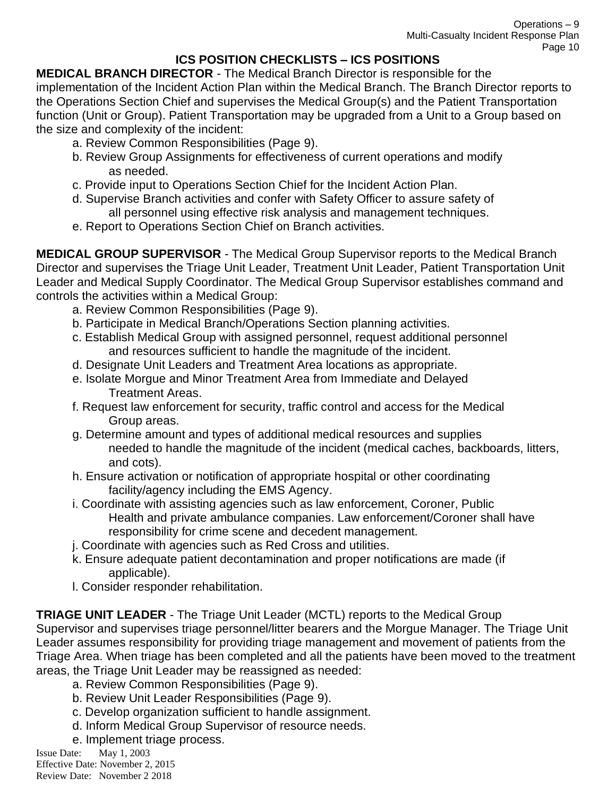# **ICS POSITION CHECKLISTS – ICS POSITIONS**

**MEDICAL BRANCH DIRECTOR** - The Medical Branch Director is responsible for the implementation of the Incident Action Plan within the Medical Branch. The Branch Director reports to the Operations Section Chief and supervises the Medical Group(s) and the Patient Transportation function (Unit or Group). Patient Transportation may be upgraded from a Unit to a Group based on the size and complexity of the incident:

- a. Review Common Responsibilities (Page 9).
- b. Review Group Assignments for effectiveness of current operations and modify as needed.
- c. Provide input to Operations Section Chief for the Incident Action Plan.
- d. Supervise Branch activities and confer with Safety Officer to assure safety of all personnel using effective risk analysis and management techniques.
- e. Report to Operations Section Chief on Branch activities.

**MEDICAL GROUP SUPERVISOR** - The Medical Group Supervisor reports to the Medical Branch Director and supervises the Triage Unit Leader, Treatment Unit Leader, Patient Transportation Unit Leader and Medical Supply Coordinator. The Medical Group Supervisor establishes command and controls the activities within a Medical Group:

- a. Review Common Responsibilities (Page 9).
- b. Participate in Medical Branch/Operations Section planning activities.
- c. Establish Medical Group with assigned personnel, request additional personnel and resources sufficient to handle the magnitude of the incident.
- d. Designate Unit Leaders and Treatment Area locations as appropriate.
- e. Isolate Morgue and Minor Treatment Area from Immediate and Delayed Treatment Areas.
- f. Request law enforcement for security, traffic control and access for the Medical Group areas.
- g. Determine amount and types of additional medical resources and supplies needed to handle the magnitude of the incident (medical caches, backboards, litters, and cots).
- h. Ensure activation or notification of appropriate hospital or other coordinating facility/agency including the EMS Agency.
- i. Coordinate with assisting agencies such as law enforcement, Coroner, Public Health and private ambulance companies. Law enforcement/Coroner shall have responsibility for crime scene and decedent management.
- j. Coordinate with agencies such as Red Cross and utilities.
- k. Ensure adequate patient decontamination and proper notifications are made (if applicable).
- l. Consider responder rehabilitation.

**TRIAGE UNIT LEADER** - The Triage Unit Leader (MCTL) reports to the Medical Group Supervisor and supervises triage personnel/litter bearers and the Morgue Manager. The Triage Unit Leader assumes responsibility for providing triage management and movement of patients from the Triage Area. When triage has been completed and all the patients have been moved to the treatment areas, the Triage Unit Leader may be reassigned as needed:

- a. Review Common Responsibilities (Page 9).
- b. Review Unit Leader Responsibilities (Page 9).
- c. Develop organization sufficient to handle assignment.
- d. Inform Medical Group Supervisor of resource needs.
- e. Implement triage process.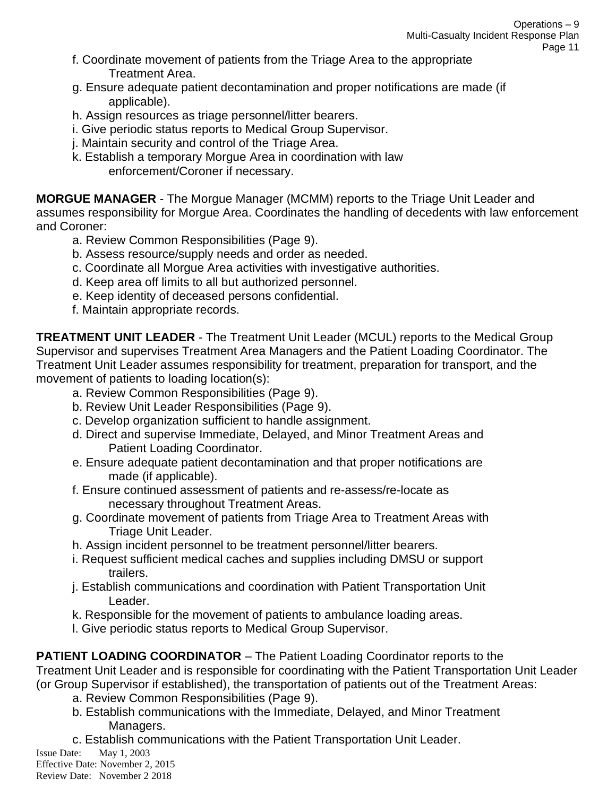- f. Coordinate movement of patients from the Triage Area to the appropriate Treatment Area.
- g. Ensure adequate patient decontamination and proper notifications are made (if applicable).
- h. Assign resources as triage personnel/litter bearers.
- i. Give periodic status reports to Medical Group Supervisor.
- j. Maintain security and control of the Triage Area.
- k. Establish a temporary Morgue Area in coordination with law enforcement/Coroner if necessary.

**MORGUE MANAGER** - The Morgue Manager (MCMM) reports to the Triage Unit Leader and assumes responsibility for Morgue Area. Coordinates the handling of decedents with law enforcement and Coroner:

- a. Review Common Responsibilities (Page 9).
- b. Assess resource/supply needs and order as needed.
- c. Coordinate all Morgue Area activities with investigative authorities.
- d. Keep area off limits to all but authorized personnel.
- e. Keep identity of deceased persons confidential.
- f. Maintain appropriate records.

**TREATMENT UNIT LEADER** - The Treatment Unit Leader (MCUL) reports to the Medical Group Supervisor and supervises Treatment Area Managers and the Patient Loading Coordinator. The Treatment Unit Leader assumes responsibility for treatment, preparation for transport, and the movement of patients to loading location(s):

- a. Review Common Responsibilities (Page 9).
- b. Review Unit Leader Responsibilities (Page 9).
- c. Develop organization sufficient to handle assignment.
- d. Direct and supervise Immediate, Delayed, and Minor Treatment Areas and Patient Loading Coordinator.
- e. Ensure adequate patient decontamination and that proper notifications are made (if applicable).
- f. Ensure continued assessment of patients and re-assess/re-locate as necessary throughout Treatment Areas.
- g. Coordinate movement of patients from Triage Area to Treatment Areas with Triage Unit Leader.
- h. Assign incident personnel to be treatment personnel/litter bearers.
- i. Request sufficient medical caches and supplies including DMSU or support trailers.
- j. Establish communications and coordination with Patient Transportation Unit Leader.
- k. Responsible for the movement of patients to ambulance loading areas.
- l. Give periodic status reports to Medical Group Supervisor.

**PATIENT LOADING COORDINATOR** – The Patient Loading Coordinator reports to the

Treatment Unit Leader and is responsible for coordinating with the Patient Transportation Unit Leader (or Group Supervisor if established), the transportation of patients out of the Treatment Areas:

- a. Review Common Responsibilities (Page 9).
- b. Establish communications with the Immediate, Delayed, and Minor Treatment Managers.
- c. Establish communications with the Patient Transportation Unit Leader.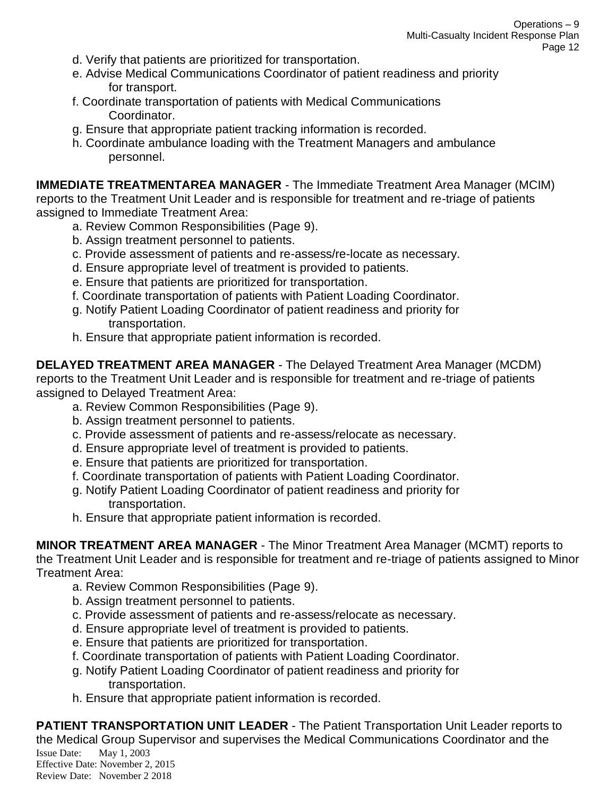- d. Verify that patients are prioritized for transportation.
- e. Advise Medical Communications Coordinator of patient readiness and priority for transport.
- f. Coordinate transportation of patients with Medical Communications Coordinator.
- g. Ensure that appropriate patient tracking information is recorded.
- h. Coordinate ambulance loading with the Treatment Managers and ambulance personnel.

**IMMEDIATE TREATMENTAREA MANAGER** - The Immediate Treatment Area Manager (MCIM) reports to the Treatment Unit Leader and is responsible for treatment and re-triage of patients assigned to Immediate Treatment Area:

- a. Review Common Responsibilities (Page 9).
- b. Assign treatment personnel to patients.
- c. Provide assessment of patients and re-assess/re-locate as necessary.
- d. Ensure appropriate level of treatment is provided to patients.
- e. Ensure that patients are prioritized for transportation.
- f. Coordinate transportation of patients with Patient Loading Coordinator.
- g. Notify Patient Loading Coordinator of patient readiness and priority for transportation.
- h. Ensure that appropriate patient information is recorded.

**DELAYED TREATMENT AREA MANAGER** - The Delayed Treatment Area Manager (MCDM) reports to the Treatment Unit Leader and is responsible for treatment and re-triage of patients assigned to Delayed Treatment Area:

- a. Review Common Responsibilities (Page 9).
- b. Assign treatment personnel to patients.
- c. Provide assessment of patients and re-assess/relocate as necessary.
- d. Ensure appropriate level of treatment is provided to patients.
- e. Ensure that patients are prioritized for transportation.
- f. Coordinate transportation of patients with Patient Loading Coordinator.
- g. Notify Patient Loading Coordinator of patient readiness and priority for transportation.
- h. Ensure that appropriate patient information is recorded.

**MINOR TREATMENT AREA MANAGER** - The Minor Treatment Area Manager (MCMT) reports to the Treatment Unit Leader and is responsible for treatment and re-triage of patients assigned to Minor Treatment Area:

- a. Review Common Responsibilities (Page 9).
- b. Assign treatment personnel to patients.
- c. Provide assessment of patients and re-assess/relocate as necessary.
- d. Ensure appropriate level of treatment is provided to patients.
- e. Ensure that patients are prioritized for transportation.
- f. Coordinate transportation of patients with Patient Loading Coordinator.
- g. Notify Patient Loading Coordinator of patient readiness and priority for transportation.
- h. Ensure that appropriate patient information is recorded.

Issue Date: May 1, 2003 Effective Date: November 2, 2015 Review Date: November 2 2018 **PATIENT TRANSPORTATION UNIT LEADER** - The Patient Transportation Unit Leader reports to the Medical Group Supervisor and supervises the Medical Communications Coordinator and the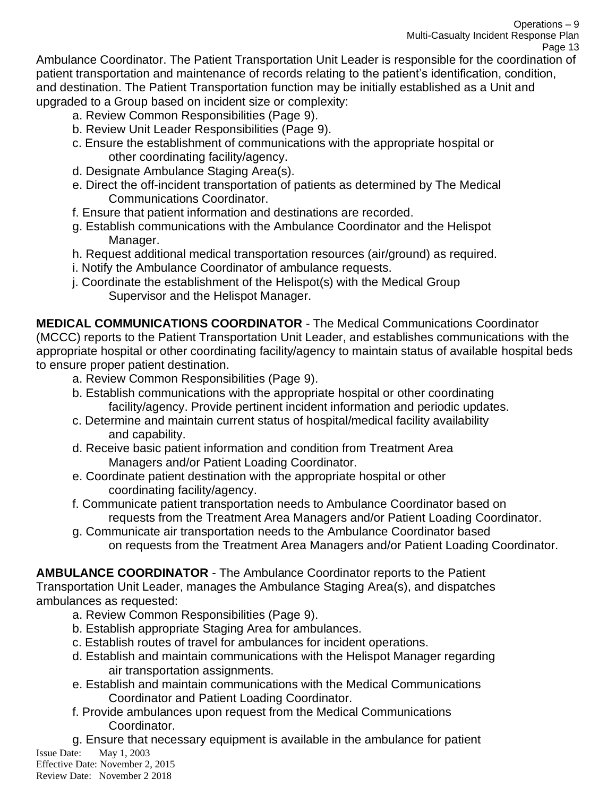Ambulance Coordinator. The Patient Transportation Unit Leader is responsible for the coordination of patient transportation and maintenance of records relating to the patient's identification, condition, and destination. The Patient Transportation function may be initially established as a Unit and upgraded to a Group based on incident size or complexity:

- a. Review Common Responsibilities (Page 9).
- b. Review Unit Leader Responsibilities (Page 9).
- c. Ensure the establishment of communications with the appropriate hospital or other coordinating facility/agency.
- d. Designate Ambulance Staging Area(s).
- e. Direct the off-incident transportation of patients as determined by The Medical Communications Coordinator.
- f. Ensure that patient information and destinations are recorded.
- g. Establish communications with the Ambulance Coordinator and the Helispot Manager.
- h. Request additional medical transportation resources (air/ground) as required.
- i. Notify the Ambulance Coordinator of ambulance requests.
- j. Coordinate the establishment of the Helispot(s) with the Medical Group Supervisor and the Helispot Manager.

**MEDICAL COMMUNICATIONS COORDINATOR** - The Medical Communications Coordinator (MCCC) reports to the Patient Transportation Unit Leader, and establishes communications with the appropriate hospital or other coordinating facility/agency to maintain status of available hospital beds to ensure proper patient destination.

- a. Review Common Responsibilities (Page 9).
- b. Establish communications with the appropriate hospital or other coordinating facility/agency. Provide pertinent incident information and periodic updates.
- c. Determine and maintain current status of hospital/medical facility availability and capability.
- d. Receive basic patient information and condition from Treatment Area Managers and/or Patient Loading Coordinator.
- e. Coordinate patient destination with the appropriate hospital or other coordinating facility/agency.
- f. Communicate patient transportation needs to Ambulance Coordinator based on requests from the Treatment Area Managers and/or Patient Loading Coordinator.
- g. Communicate air transportation needs to the Ambulance Coordinator based on requests from the Treatment Area Managers and/or Patient Loading Coordinator.

**AMBULANCE COORDINATOR** - The Ambulance Coordinator reports to the Patient

Transportation Unit Leader, manages the Ambulance Staging Area(s), and dispatches ambulances as requested:

- a. Review Common Responsibilities (Page 9).
- b. Establish appropriate Staging Area for ambulances.
- c. Establish routes of travel for ambulances for incident operations.
- d. Establish and maintain communications with the Helispot Manager regarding air transportation assignments.
- e. Establish and maintain communications with the Medical Communications Coordinator and Patient Loading Coordinator.
- f. Provide ambulances upon request from the Medical Communications Coordinator.
- g. Ensure that necessary equipment is available in the ambulance for patient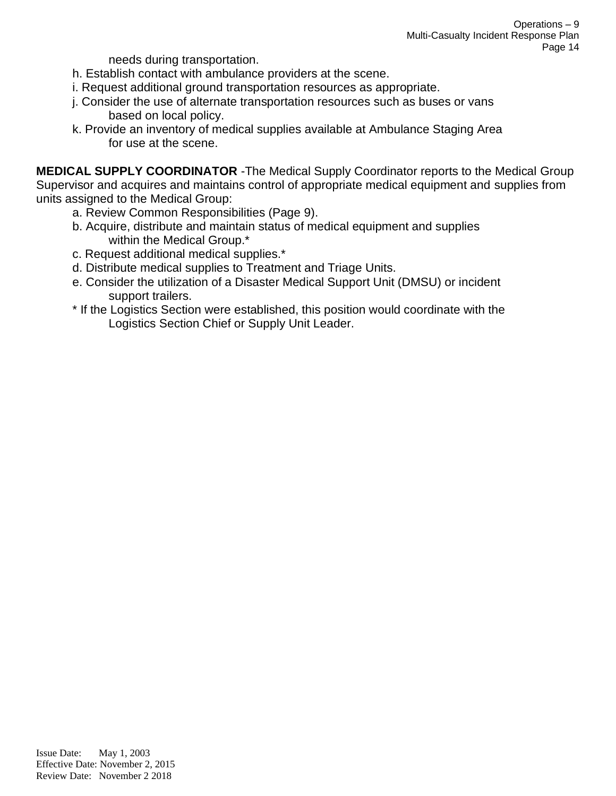needs during transportation.

- h. Establish contact with ambulance providers at the scene.
- i. Request additional ground transportation resources as appropriate.
- j. Consider the use of alternate transportation resources such as buses or vans based on local policy.
- k. Provide an inventory of medical supplies available at Ambulance Staging Area for use at the scene.

**MEDICAL SUPPLY COORDINATOR** -The Medical Supply Coordinator reports to the Medical Group Supervisor and acquires and maintains control of appropriate medical equipment and supplies from units assigned to the Medical Group:

- a. Review Common Responsibilities (Page 9).
- b. Acquire, distribute and maintain status of medical equipment and supplies within the Medical Group.\*
- c. Request additional medical supplies.\*
- d. Distribute medical supplies to Treatment and Triage Units.
- e. Consider the utilization of a Disaster Medical Support Unit (DMSU) or incident support trailers.
- \* If the Logistics Section were established, this position would coordinate with the Logistics Section Chief or Supply Unit Leader.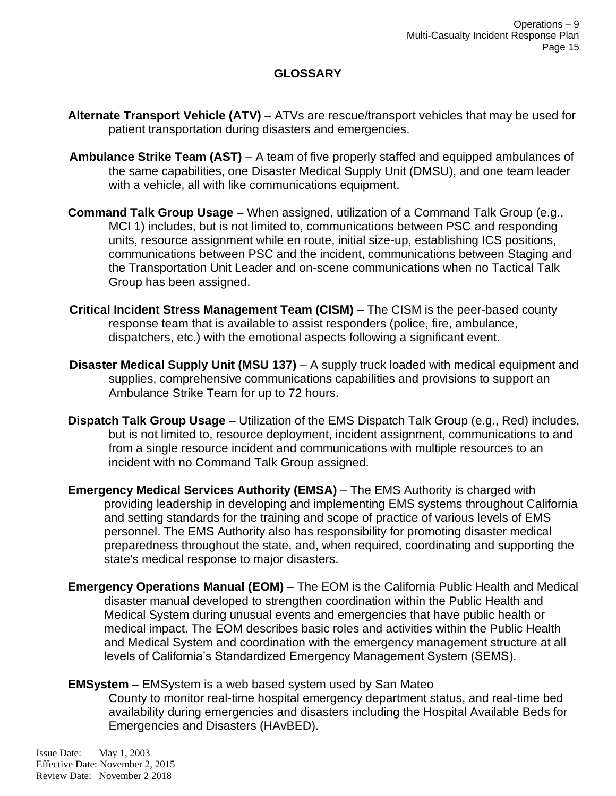### **GLOSSARY**

- **Alternate Transport Vehicle (ATV)** ATVs are rescue/transport vehicles that may be used for patient transportation during disasters and emergencies.
- **Ambulance Strike Team (AST)** A team of five properly staffed and equipped ambulances of the same capabilities, one Disaster Medical Supply Unit (DMSU), and one team leader with a vehicle, all with like communications equipment.
- **Command Talk Group Usage** When assigned, utilization of a Command Talk Group (e.g., MCI 1) includes, but is not limited to, communications between PSC and responding units, resource assignment while en route, initial size-up, establishing ICS positions, communications between PSC and the incident, communications between Staging and the Transportation Unit Leader and on-scene communications when no Tactical Talk Group has been assigned.
- **Critical Incident Stress Management Team (CISM)** The CISM is the peer-based county response team that is available to assist responders (police, fire, ambulance, dispatchers, etc.) with the emotional aspects following a significant event.
- **Disaster Medical Supply Unit (MSU 137)** A supply truck loaded with medical equipment and supplies, comprehensive communications capabilities and provisions to support an Ambulance Strike Team for up to 72 hours.
- **Dispatch Talk Group Usage** Utilization of the EMS Dispatch Talk Group (e.g., Red) includes, but is not limited to, resource deployment, incident assignment, communications to and from a single resource incident and communications with multiple resources to an incident with no Command Talk Group assigned.
- **Emergency Medical Services Authority (EMSA)** The EMS Authority is charged with providing leadership in developing and implementing EMS systems throughout California and setting standards for the training and scope of practice of various levels of EMS personnel. The EMS Authority also has responsibility for promoting disaster medical preparedness throughout the state, and, when required, coordinating and supporting the state's medical response to major disasters.
- **Emergency Operations Manual (EOM)** The EOM is the California Public Health and Medical disaster manual developed to strengthen coordination within the Public Health and Medical System during unusual events and emergencies that have public health or medical impact. The EOM describes basic roles and activities within the Public Health and Medical System and coordination with the emergency management structure at all levels of California's Standardized Emergency Management System (SEMS).

#### **EMSystem** – EMSystem is a web based system used by San Mateo

County to monitor real-time hospital emergency department status, and real-time bed availability during emergencies and disasters including the Hospital Available Beds for Emergencies and Disasters (HAvBED).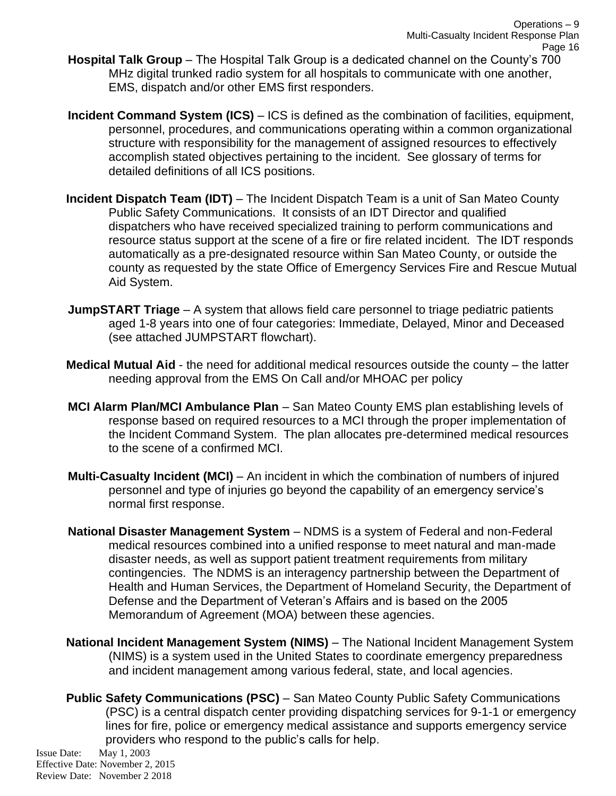- **Hospital Talk Group** The Hospital Talk Group is a dedicated channel on the County's 700 MHz digital trunked radio system for all hospitals to communicate with one another, EMS, dispatch and/or other EMS first responders.
- **Incident Command System (ICS)** ICS is defined as the combination of facilities, equipment, personnel, procedures, and communications operating within a common organizational structure with responsibility for the management of assigned resources to effectively accomplish stated objectives pertaining to the incident. See glossary of terms for detailed definitions of all ICS positions.
- **Incident Dispatch Team (IDT)** The Incident Dispatch Team is a unit of San Mateo County Public Safety Communications. It consists of an IDT Director and qualified dispatchers who have received specialized training to perform communications and resource status support at the scene of a fire or fire related incident. The IDT responds automatically as a pre-designated resource within San Mateo County, or outside the county as requested by the state Office of Emergency Services Fire and Rescue Mutual Aid System.
- **JumpSTART Triage** A system that allows field care personnel to triage pediatric patients aged 1-8 years into one of four categories: Immediate, Delayed, Minor and Deceased (see attached JUMPSTART flowchart).
- **Medical Mutual Aid** the need for additional medical resources outside the county the latter needing approval from the EMS On Call and/or MHOAC per policy
- **MCI Alarm Plan/MCI Ambulance Plan** San Mateo County EMS plan establishing levels of response based on required resources to a MCI through the proper implementation of the Incident Command System. The plan allocates pre-determined medical resources to the scene of a confirmed MCI.
- **Multi-Casualty Incident (MCI)** An incident in which the combination of numbers of injured personnel and type of injuries go beyond the capability of an emergency service's normal first response.
- **National Disaster Management System** NDMS is a system of Federal and non-Federal medical resources combined into a unified response to meet natural and man-made disaster needs, as well as support patient treatment requirements from military contingencies. The NDMS is an interagency partnership between the Department of Health and Human Services, the Department of Homeland Security, the Department of Defense and the Department of Veteran's Affairs and is based on the 2005 Memorandum of Agreement (MOA) between these agencies.
- **National Incident Management System (NIMS)** The National Incident Management System (NIMS) is a system used in the United States to coordinate emergency preparedness and incident management among various federal, state, and local agencies.
- **Public Safety Communications (PSC)** San Mateo County Public Safety Communications (PSC) is a central dispatch center providing dispatching services for 9-1-1 or emergency lines for fire, police or emergency medical assistance and supports emergency service providers who respond to the public's calls for help.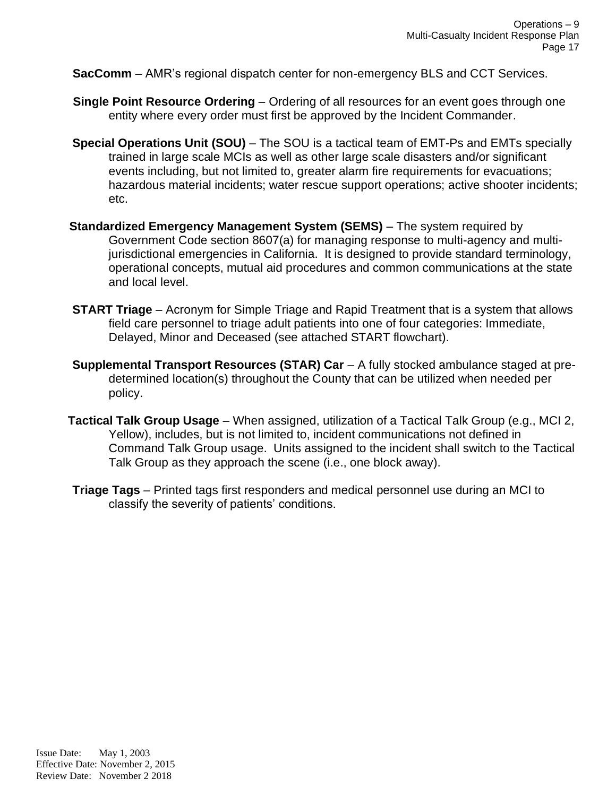**SacComm** – AMR's regional dispatch center for non-emergency BLS and CCT Services.

- **Single Point Resource Ordering** Ordering of all resources for an event goes through one entity where every order must first be approved by the Incident Commander.
- **Special Operations Unit (SOU)** The SOU is a tactical team of EMT-Ps and EMTs specially trained in large scale MCIs as well as other large scale disasters and/or significant events including, but not limited to, greater alarm fire requirements for evacuations; hazardous material incidents; water rescue support operations; active shooter incidents; etc.
- **Standardized Emergency Management System (SEMS)** The system required by Government Code section 8607(a) for managing response to multi-agency and multijurisdictional emergencies in California. It is designed to provide standard terminology, operational concepts, mutual aid procedures and common communications at the state and local level.
- **START Triage** Acronym for Simple Triage and Rapid Treatment that is a system that allows field care personnel to triage adult patients into one of four categories: Immediate, Delayed, Minor and Deceased (see attached START flowchart).
- **Supplemental Transport Resources (STAR) Car** A fully stocked ambulance staged at predetermined location(s) throughout the County that can be utilized when needed per policy.
- **Tactical Talk Group Usage** When assigned, utilization of a Tactical Talk Group (e.g., MCI 2, Yellow), includes, but is not limited to, incident communications not defined in Command Talk Group usage. Units assigned to the incident shall switch to the Tactical Talk Group as they approach the scene (i.e., one block away).
- **Triage Tags** Printed tags first responders and medical personnel use during an MCI to classify the severity of patients' conditions.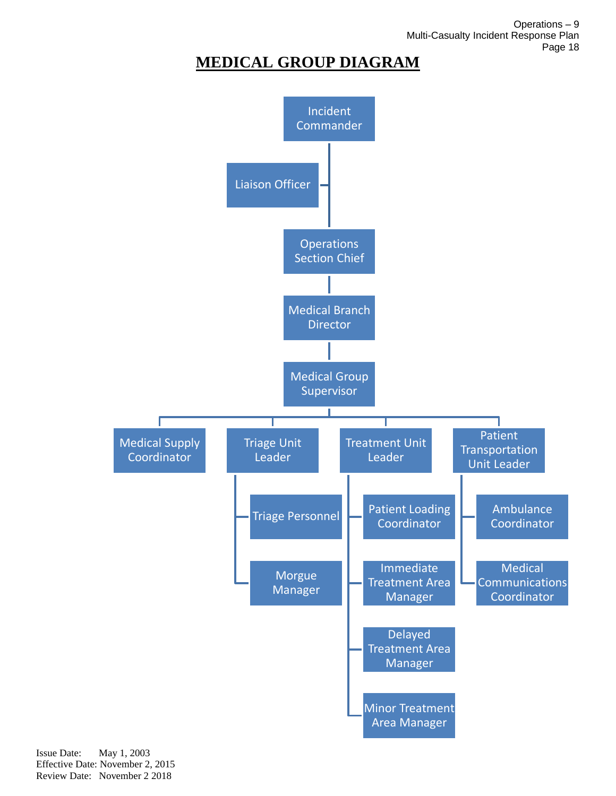Operations – 9 Multi-Casualty Incident Response Plan Page 18

# **MEDICAL GROUP DIAGRAM**

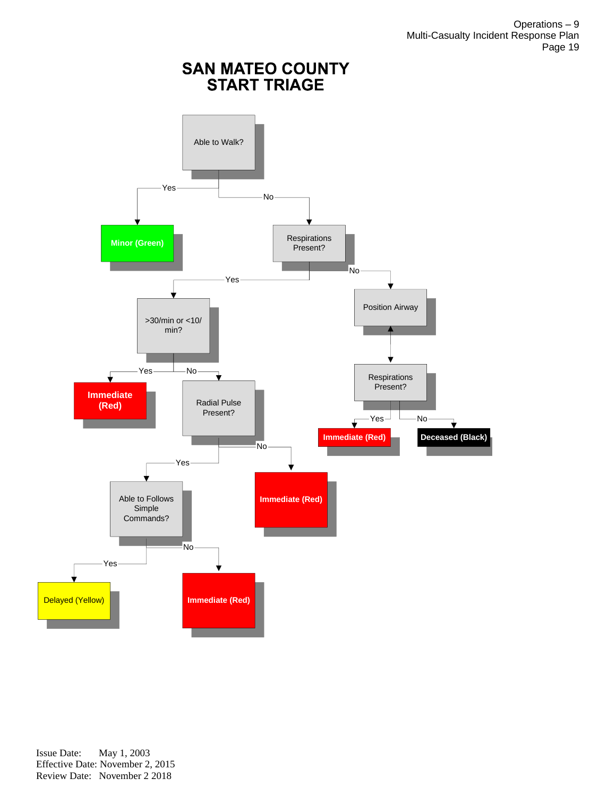Operations – 9 Multi-Casualty Incident Response Plan Page 19

# **SAN MATEO COUNTY<br>START TRIAGE**

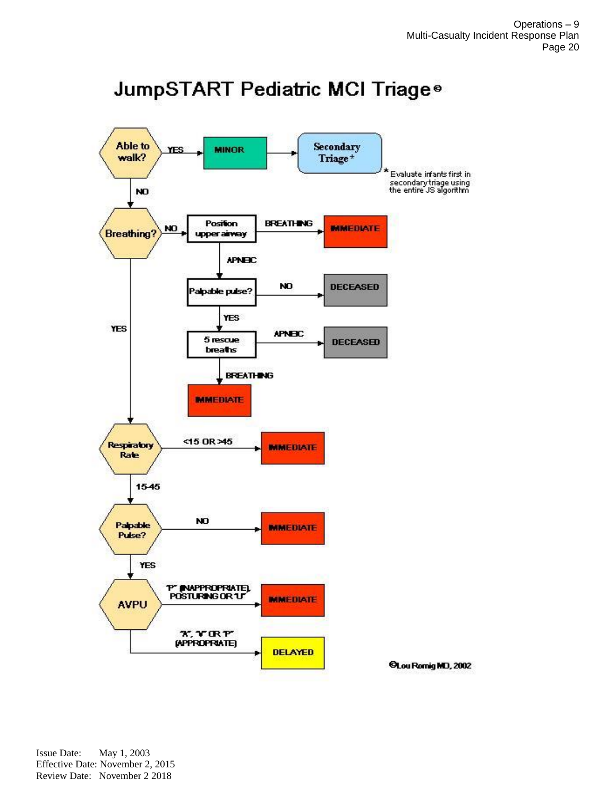# JumpSTART Pediatric MCI Triage®